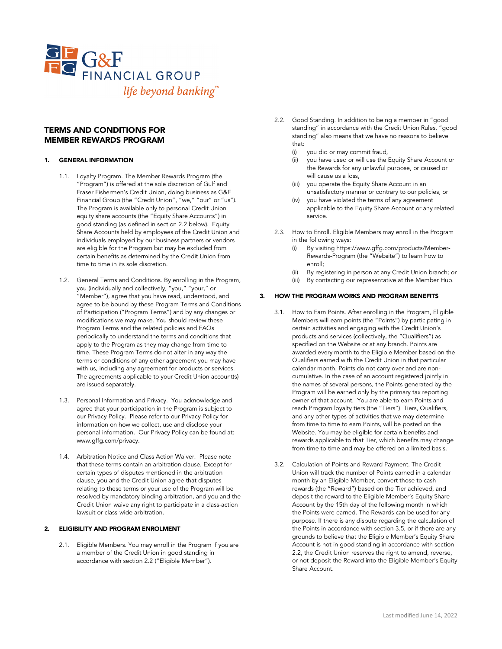

# TERMS AND CONDITIONS FOR MEMBER REWARDS PROGRAM

#### 1. GENERAL INFORMATION

- 1.1. Loyalty Program. The Member Rewards Program (the "Program") is offered at the sole discretion of Gulf and Fraser Fishermen's Credit Union, doing business as G&F Financial Group (the "Credit Union", "we," "our" or "us"). The Program is available only to personal Credit Union equity share accounts (the "Equity Share Accounts") in good standing (as defined in section 2.2 below). Equity Share Accounts held by employees of the Credit Union and individuals employed by our business partners or vendors are eligible for the Program but may be excluded from certain benefits as determined by the Credit Union from time to time in its sole discretion.
- 1.2. General Terms and Conditions. By enrolling in the Program, you (individually and collectively, "you," "your," or "Member"), agree that you have read, understood, and agree to be bound by these Program Terms and Conditions of Participation ("Program Terms") and by any changes or modifications we may make. You should review these Program Terms and the related policies and FAQs periodically to understand the terms and conditions that apply to the Program as they may change from time to time. These Program Terms do not alter in any way the terms or conditions of any other agreement you may have with us, including any agreement for products or services. The agreements applicable to your Credit Union account(s) are issued separately.
- 1.3. Personal Information and Privacy. You acknowledge and agree that your participation in the Program is subject to our Privacy Policy. Please refer to our Privacy Policy for information on how we collect, use and disclose your personal information. Our Privacy Policy can be found at: www.gffg.com/privacy.
- 1.4. Arbitration Notice and Class Action Waiver. Please note that these terms contain an arbitration clause. Except for certain types of disputes mentioned in the arbitration clause, you and the Credit Union agree that disputes relating to these terms or your use of the Program will be resolved by mandatory binding arbitration, and you and the Credit Union waive any right to participate in a class-action lawsuit or class-wide arbitration.

### 2. ELIGIBILITY AND PROGRAM ENROLMENT

2.1. Eligible Members. You may enroll in the Program if you are a member of the Credit Union in good standing in accordance with section 2.2 ("Eligible Member").

- 2.2. Good Standing. In addition to being a member in "good standing" in accordance with the Credit Union Rules, "good standing" also means that we have no reasons to believe that:
	- (i) you did or may commit fraud,
	- you have used or will use the Equity Share Account or the Rewards for any unlawful purpose, or caused or will cause us a loss,
	- you operate the Equity Share Account in an unsatisfactory manner or contrary to our policies, or
	- (iv) you have violated the terms of any agreement applicable to the Equity Share Account or any related service.
- 2.3. How to Enroll. Eligible Members may enroll in the Program in the following ways:
	- (i) By visiting https://www.gffg.com/products/Member-Rewards-Program (the "Website") to learn how to enroll;
	- (ii) By registering in person at any Credit Union branch; or
	- (iii) By contacting our representative at the Member Hub.

#### 3. HOW THE PROGRAM WORKS AND PROGRAM BENEFITS

- 3.1. How to Earn Points. After enrolling in the Program, Eligible Members will earn points (the "Points") by participating in certain activities and engaging with the Credit Union's products and services (collectively, the "Qualifiers") as specified on the Website or at any branch. Points are awarded every month to the Eligible Member based on the Qualifiers earned with the Credit Union in that particular calendar month. Points do not carry over and are noncumulative. In the case of an account registered jointly in the names of several persons, the Points generated by the Program will be earned only by the primary tax reporting owner of that account. You are able to earn Points and reach Program loyalty tiers (the "Tiers"). Tiers, Qualifiers, and any other types of activities that we may determine from time to time to earn Points, will be posted on the Website. You may be eligible for certain benefits and rewards applicable to that Tier, which benefits may change from time to time and may be offered on a limited basis.
- 3.2. Calculation of Points and Reward Payment. The Credit Union will track the number of Points earned in a calendar month by an Eligible Member, convert those to cash rewards (the "Reward") based on the Tier achieved, and deposit the reward to the Eligible Member's Equity Share Account by the 15th day of the following month in which the Points were earned. The Rewards can be used for any purpose. If there is any dispute regarding the calculation of the Points in accordance with section 3.5, or if there are any grounds to believe that the Eligible Member's Equity Share Account is not in good standing in accordance with section 2.2, the Credit Union reserves the right to amend, reverse, or not deposit the Reward into the Eligible Member's Equity Share Account.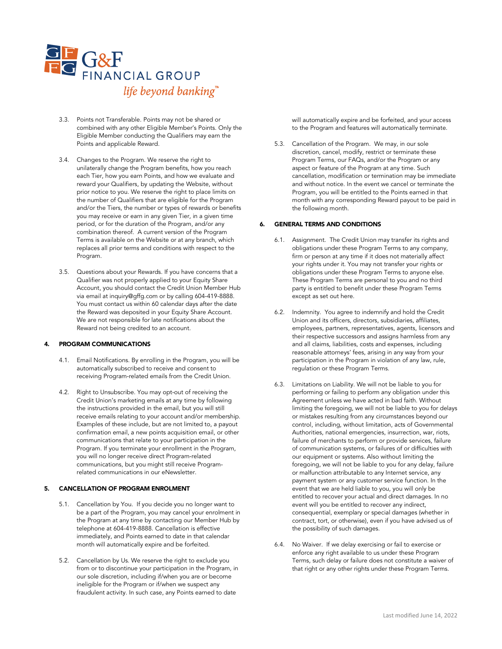

- 3.3. Points not Transferable. Points may not be shared or combined with any other Eligible Member's Points. Only the Eligible Member conducting the Qualifiers may earn the Points and applicable Reward.
- 3.4. Changes to the Program. We reserve the right to unilaterally change the Program benefits, how you reach each Tier, how you earn Points, and how we evaluate and reward your Qualifiers, by updating the Website, without prior notice to you. We reserve the right to place limits on the number of Qualifiers that are eligible for the Program and/or the Tiers, the number or types of rewards or benefits you may receive or earn in any given Tier, in a given time period, or for the duration of the Program, and/or any combination thereof. A current version of the Program Terms is available on the Website or at any branch, which replaces all prior terms and conditions with respect to the Program.
- 3.5. Questions about your Rewards. If you have concerns that a Qualifier was not properly applied to your Equity Share Account, you should contact the Credit Union Member Hub via email at inquiry@gffg.com or by calling 604-419-8888. You must contact us within 60 calendar days after the date the Reward was deposited in your Equity Share Account. We are not responsible for late notifications about the Reward not being credited to an account.

## PROGRAM COMMUNICATIONS

- 4.1. Email Notifications. By enrolling in the Program, you will be automatically subscribed to receive and consent to receiving Program-related emails from the Credit Union.
- 4.2. Right to Unsubscribe. You may opt-out of receiving the Credit Union's marketing emails at any time by following the instructions provided in the email, but you will still receive emails relating to your account and/or membership. Examples of these include, but are not limited to, a payout confirmation email, a new points acquisition email, or other communications that relate to your participation in the Program. If you terminate your enrollment in the Program, you will no longer receive direct Program-related communications, but you might still receive Programrelated communications in our eNewsletter.

## 5. CANCELLATION OF PROGRAM ENROLMENT

- 5.1. Cancellation by You. If you decide you no longer want to be a part of the Program, you may cancel your enrolment in the Program at any time by contacting our Member Hub by telephone at 604-419-8888. Cancellation is effective immediately, and Points earned to date in that calendar month will automatically expire and be forfeited.
- 5.2. Cancellation by Us. We reserve the right to exclude you from or to discontinue your participation in the Program, in our sole discretion, including if/when you are or become ineligible for the Program or if/when we suspect any fraudulent activity. In such case, any Points earned to date

will automatically expire and be forfeited, and your access to the Program and features will automatically terminate.

5.3. Cancellation of the Program. We may, in our sole discretion, cancel, modify, restrict or terminate these Program Terms, our FAQs, and/or the Program or any aspect or feature of the Program at any time. Such cancellation, modification or termination may be immediate and without notice. In the event we cancel or terminate the Program, you will be entitled to the Points earned in that month with any corresponding Reward payout to be paid in the following month.

#### 6. GENERAL TERMS AND CONDITIONS

- 6.1. Assignment. The Credit Union may transfer its rights and obligations under these Program Terms to any company, firm or person at any time if it does not materially affect your rights under it. You may not transfer your rights or obligations under these Program Terms to anyone else. These Program Terms are personal to you and no third party is entitled to benefit under these Program Terms except as set out here.
- 6.2. Indemnity. You agree to indemnify and hold the Credit Union and its officers, directors, subsidiaries, affiliates, employees, partners, representatives, agents, licensors and their respective successors and assigns harmless from any and all claims, liabilities, costs and expenses, including reasonable attorneys' fees, arising in any way from your participation in the Program in violation of any law, rule, regulation or these Program Terms.
- 6.3. Limitations on Liability. We will not be liable to you for performing or failing to perform any obligation under this Agreement unless we have acted in bad faith. Without limiting the foregoing, we will not be liable to you for delays or mistakes resulting from any circumstances beyond our control, including, without limitation, acts of Governmental Authorities, national emergencies, insurrection, war, riots, failure of merchants to perform or provide services, failure of communication systems, or failures of or difficulties with our equipment or systems. Also without limiting the foregoing, we will not be liable to you for any delay, failure or malfunction attributable to any Internet service, any payment system or any customer service function. In the event that we are held liable to you, you will only be entitled to recover your actual and direct damages. In no event will you be entitled to recover any indirect, consequential, exemplary or special damages (whether in contract, tort, or otherwise), even if you have advised us of the possibility of such damages.
- 6.4. No Waiver. If we delay exercising or fail to exercise or enforce any right available to us under these Program Terms, such delay or failure does not constitute a waiver of that right or any other rights under these Program Terms.